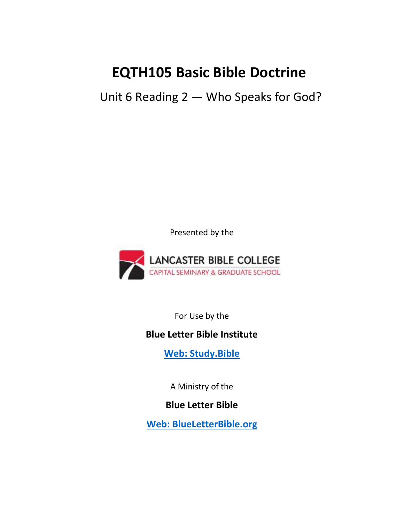# **EQTH105 Basic Bible Doctrine**

Unit 6 Reading 2 — Who Speaks for God?

Presented by the



For Use by the

# **Blue Letter Bible Institute**

**[Web: Study.Bible](https://study.bible/)**

A Ministry of the

**Blue Letter Bible**

**[Web: BlueLetterBible.org](https://www.blueletterbible.org/)**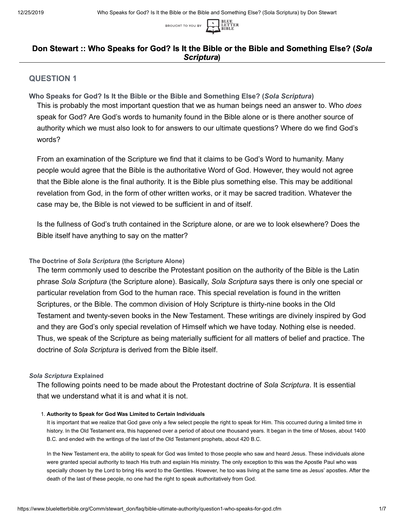

## **Don Stewart :: Who Speaks for God? Is It the Bible or the Bible and Something Else? (***Sola Scriptura* **)**

## **QUESTION 1**

**Who Speaks for God? Is It the Bible or the Bible and Something Else? (***Sola Scriptura***)** This is probably the most important question that we as human beings need an answer to. Who *does* speak for God? Are God's words to humanity found in the Bible alone or is there another source of authority which we must also look to for answers to our ultimate questions? Where do we find God's words?

From an examination of the Scripture we find that it claims to be God's Word to humanity. Many people would agree that the Bible is the authoritative Word of God. However, they would not agree that the Bible alone is the final authority. It is the Bible plus something else. This may be additional revelation from God, in the form of other written works, or it may be sacred tradition. Whatever the case may be, the Bible is not viewed to be sufficient in and of itself.

Is the fullness of God's truth contained in the Scripture alone, or are we to look elsewhere? Does the Bible itself have anything to say on the matter?

## **The Doctrine of** *Sola Scriptura* **(the Scripture Alone)**

The term commonly used to describe the Protestant position on the authority of the Bible is the Latin phrase *Sola Scriptura* (the Scripture alone). Basically, *Sola Scriptura* says there is only one special or particular revelation from God to the human race. This special revelation is found in the written Scriptures, or the Bible. The common division of Holy Scripture is thirty-nine books in the Old Testament and twenty-seven books in the New Testament. These writings are divinely inspired by God and they are God's only special revelation of Himself which we have today. Nothing else is needed. Thus, we speak of the Scripture as being materially sufficient for all matters of belief and practice. The doctrine of *Sola Scriptura* is derived from the Bible itself.

## *Sola Scriptura* **Explained**

The following points need to be made about the Protestant doctrine of *Sola Scriptura*. It is essential that we understand what it is and what it is not.

## 1. **Authority to Speak for God Was Limited to Certain Individuals**

It is important that we realize that God gave only a few select people the right to speak for Him. This occurred during a limited time in history. In the Old Testament era, this happened over a period of about one thousand years. It began in the time of Moses, about 1400 B.C. and ended with the writings of the last of the Old Testament prophets, about 420 B.C.

In the New Testament era, the ability to speak for God was limited to those people who saw and heard Jesus. These individuals alone were granted special authority to teach His truth and explain His ministry. The only exception to this was the Apostle Paul who was specially chosen by the Lord to bring His word to the Gentiles. However, he too was living at the same time as Jesus' apostles. After the death of the last of these people, no one had the right to speak authoritatively from God.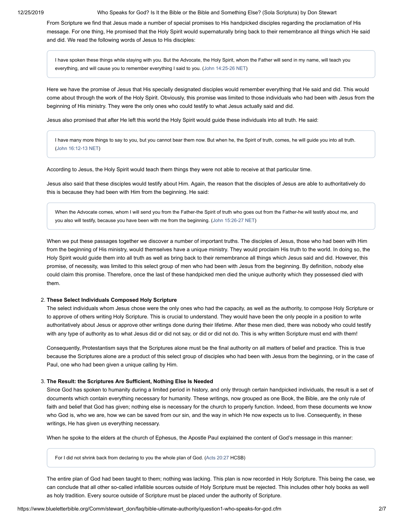12/25/2019 Who Speaks for God? Is It the Bible or the Bible and Something Else? (Sola Scriptura) by Don Stewart

From Scripture we find that Jesus made a number of special promises to His handpicked disciples regarding the proclamation of His message. For one thing, He promised that the Holy Spirit would supernaturally bring back to their remembrance all things which He said and did. We read the following words of Jesus to His disciples:

I have spoken these things while staying with you. But the Advocate, the Holy Spirit, whom the Father will send in my name, will teach you everything, and will cause you to remember everything I said to you. ([John 14:25-26 NET](https://www.blueletterbible.org/net/john/14/25-26/s_1011025))

Here we have the promise of Jesus that His specially designated disciples would remember everything that He said and did. This would come about through the work of the Holy Spirit. Obviously, this promise was limited to those individuals who had been with Jesus from the beginning of His ministry. They were the only ones who could testify to what Jesus actually said and did.

Jesus also promised that after He left this world the Holy Spirit would guide these individuals into all truth. He said:

I have many more things to say to you, but you cannot bear them now. But when he, the Spirit of truth, comes, he will guide you into all truth. ([John 16:12-13 NET\)](https://www.blueletterbible.org/net/john/16/12-13/s_1013012)

According to Jesus, the Holy Spirit would teach them things they were not able to receive at that particular time.

Jesus also said that these disciples would testify about Him. Again, the reason that the disciples of Jesus are able to authoritatively do this is because they had been with Him from the beginning. He said:

When the Advocate comes, whom I will send you from the Father-the Spirit of truth who goes out from the Father-he will testify about me, and you also will testify, because you have been with me from the beginning. [\(John 15:26-27 NET](https://www.blueletterbible.org/net/john/15/26-27/s_1012026))

When we put these passages together we discover a number of important truths. The disciples of Jesus, those who had been with Him from the beginning of His ministry, would themselves have a unique ministry. They would proclaim His truth to the world. In doing so, the Holy Spirit would guide them into all truth as well as bring back to their remembrance all things which Jesus said and did. However, this promise, of necessity, was limited to this select group of men who had been with Jesus from the beginning. By definition, nobody else could claim this promise. Therefore, once the last of these handpicked men died the unique authority which they possessed died with them.

## 2. **These Select Individuals Composed Holy Scripture**

The select individuals whom Jesus chose were the only ones who had the capacity, as well as the authority, to compose Holy Scripture or to approve of others writing Holy Scripture. This is crucial to understand. They would have been the only people in a position to write authoritatively about Jesus or approve other writings done during their lifetime. After these men died, there was nobody who could testify with any type of authority as to what Jesus did or did not say, or did or did not do. This is why written Scripture must end with them!

Consequently, Protestantism says that the Scriptures alone must be the final authority on all matters of belief and practice. This is true because the Scriptures alone are a product of this select group of disciples who had been with Jesus from the beginning, or in the case of Paul, one who had been given a unique calling by Him.

#### 3. **The Result: the Scriptures Are Sufficient, Nothing Else Is Needed**

Since God has spoken to humanity during a limited period in history, and only through certain handpicked individuals, the result is a set of documents which contain everything necessary for humanity. These writings, now grouped as one Book, the Bible, are the only rule of faith and belief that God has given; nothing else is necessary for the church to properly function. Indeed, from these documents we know who God is, who we are, how we can be saved from our sin, and the way in which He now expects us to live. Consequently, in these writings, He has given us everything necessary.

When he spoke to the elders at the church of Ephesus, the Apostle Paul explained the content of God's message in this manner:

For I did not shrink back from declaring to you the whole plan of God. [\(Acts 20:27](https://www.blueletterbible.org/csb/acts/20/27/s_1038027) HCSB)

The entire plan of God had been taught to them; nothing was lacking. This plan is now recorded in Holy Scripture. This being the case, we can conclude that all other so-called infallible sources outside of Holy Scripture must be rejected. This includes other holy books as well as holy tradition. Every source outside of Scripture must be placed under the authority of Scripture.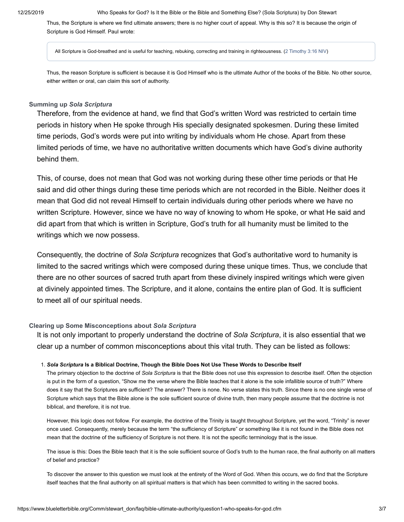Thus, the Scripture is where we find ultimate answers; there is no higher court of appeal. Why is this so? It is because the origin of Scripture is God Himself. Paul wrote:

All Scripture is God-breathed and is useful for teaching, rebuking, correcting and training in righteousness. [\(2 Timothy 3:16 NIV](https://www.blueletterbible.org/niv/2timothy/3/16/s_1128016))

Thus, the reason Scripture is sufficient is because it is God Himself who is the ultimate Author of the books of the Bible. No other source, either written or oral, can claim this sort of authority.

## **Summing up** *Sola Scriptura*

Therefore, from the evidence at hand, we find that God's written Word was restricted to certain time periods in history when He spoke through His specially designated spokesmen. During these limited time periods, God's words were put into writing by individuals whom He chose. Apart from these limited periods of time, we have no authoritative written documents which have God's divine authority behind them.

This, of course, does not mean that God was not working during these other time periods or that He said and did other things during these time periods which are not recorded in the Bible. Neither does it mean that God did not reveal Himself to certain individuals during other periods where we have no written Scripture. However, since we have no way of knowing to whom He spoke, or what He said and did apart from that which is written in Scripture, God's truth for all humanity must be limited to the writings which we now possess.

Consequently, the doctrine of *Sola Scriptura* recognizes that God's authoritative word to humanity is limited to the sacred writings which were composed during these unique times. Thus, we conclude that there are no other sources of sacred truth apart from these divinely inspired writings which were given at divinely appointed times. The Scripture, and it alone, contains the entire plan of God. It is sufficient to meet all of our spiritual needs.

## **Clearing up Some Misconceptions about** *Sola Scriptura*

It is not only important to properly understand the doctrine of *Sola Scriptura*, it is also essential that we clear up a number of common misconceptions about this vital truth. They can be listed as follows:

#### 1. *Sola Scriptura* **Is a Biblical Doctrine, Though the Bible Does Not Use These Words to Describe Itself**

The primary objection to the doctrine of *Sola Scriptura* is that the Bible does not use this expression to describe itself. Often the objection is put in the form of a question, "Show me the verse where the Bible teaches that it alone is the sole infallible source of truth?" Where does it say that the Scriptures are sufficient? The answer? There is none. No verse states this truth. Since there is no one single verse of Scripture which says that the Bible alone is the sole sufficient source of divine truth, then many people assume that the doctrine is not biblical, and therefore, it is not true.

However, this logic does not follow. For example, the doctrine of the Trinity is taught throughout Scripture, yet the word, "Trinity" is never once used. Consequently, merely because the term "the sufficiency of Scripture" or something like it is not found in the Bible does not mean that the doctrine of the sufficiency of Scripture is not there. It is not the specific terminology that is the issue.

The issue is this: Does the Bible teach that it is the sole sufficient source of God's truth to the human race, the final authority on all matters of belief and practice?

To discover the answer to this question we must look at the entirety of the Word of God. When this occurs, we do find that the Scripture itself teaches that the final authority on all spiritual matters is that which has been committed to writing in the sacred books.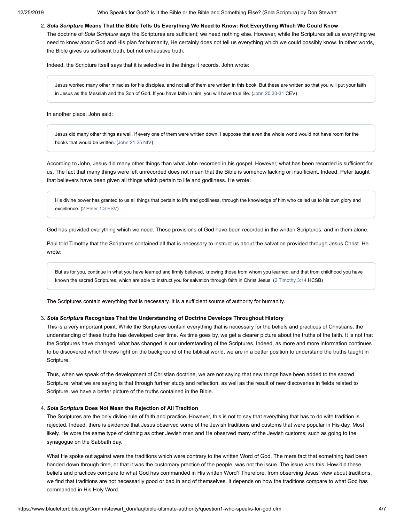12/25/2019 Who Speaks for God? Is It the Bible or the Bible and Something Else? (Sola Scriptura) by Don Stewart

#### 2. *Sola Scripture* **Means That the Bible Tells Us Everything We Need to Know: Not Everything Which We Could Know**

The doctrine of *Sola Scripture* says the Scriptures are sufficient; we need nothing else. However, while the Scriptures tell us everything we need to know about God and His plan for humanity, He certainly does not tell us everything which we could possibly know. In other words, the Bible gives us sufficient truth, but not exhaustive truth.

Indeed, the Scripture itself says that it is selective in the things it records. John wrote:

Jesus worked many other miracles for his disciples, and not all of them are written in this book. But these are written so that you will put your faith in Jesus as the Messiah and the Son of God. If you have faith in him, you will have true life. ([John 20:30-31](https://www.blueletterbible.org/csb/john/20/30-31/s_1017030) CEV)

In another place, John said:

Jesus did many other things as well. If every one of them were written down, I suppose that even the whole world would not have room for the books that would be written. ([John 21:25 NIV](https://www.blueletterbible.org/niv/john/21/25/s_1018025))

According to John, Jesus did many other things than what John recorded in his gospel. However, what has been recorded is sufficient for us. The fact that many things were left unrecorded does not mean that the Bible is somehow lacking or insufficient. Indeed, Peter taught that believers have been given all things which pertain to life and godliness. He wrote:

His divine power has granted to us all things that pertain to life and godliness, through the knowledge of him who called us to his own glory and excellence. ([2 Peter 1:3 ESV](https://www.blueletterbible.org/esv/2peter/1/3/s_1157003))

God has provided everything which we need. These provisions of God have been recorded in the written Scriptures, and in them alone.

Paul told Timothy that the Scriptures contained all that is necessary to instruct us about the salvation provided through Jesus Christ. He wrote:

But as for you, continue in what you have learned and firmly believed, knowing those from whom you learned, and that from childhood you have known the sacred Scriptures, which are able to instruct you for salvation through faith in Christ Jesus. ([2 Timothy 3:14](https://www.blueletterbible.org/csb/2timothy/3/14/s_1128014) HCSB)

The Scriptures contain everything that is necessary. It is a sufficient source of authority for humanity.

## 3. *Sola Scriptura* **Recognizes That the Understanding of Doctrine Develops Throughout History**

This is a very important point. While the Scriptures contain everything that is necessary for the beliefs and practices of Christians, the understanding of these truths has developed over time. As time goes by, we get a clearer picture about the truths of the faith. It is not that the Scriptures have changed; what has changed is our understanding of the Scriptures. Indeed, as more and more information continues to be discovered which throws light on the background of the biblical world, we are in a better position to understand the truths taught in Scripture.

Thus, when we speak of the development of Christian doctrine, we are not saying that new things have been added to the sacred Scripture, what we are saying is that through further study and reflection, as well as the result of new discoveries in fields related to Scripture, we have a better picture of the truths contained in the Bible.

#### 4. *Sola Scriptura* **Does Not Mean the Rejection of All Tradition**

The Scriptures are the only divine rule of faith and practice. However, this is not to say that everything that has to do with tradition is rejected. Indeed, there is evidence that Jesus observed some of the Jewish traditions and customs that were popular in His day. Most likely, He wore the same type of clothing as other Jewish men and He observed many of the Jewish customs; such as going to the synagogue on the Sabbath day.

What He spoke out against were the traditions which were contrary to the written Word of God. The mere fact that something had been handed down through time, or that it was the customary practice of the people, was not the issue. The issue was this: How did these beliefs and practices compare to what God has commanded in His written Word? Therefore, from observing Jesus' view about traditions, we find that traditions are not necessarily good or bad in and of themselves. It depends on how the traditions compare to what God has commanded in His Holy Word.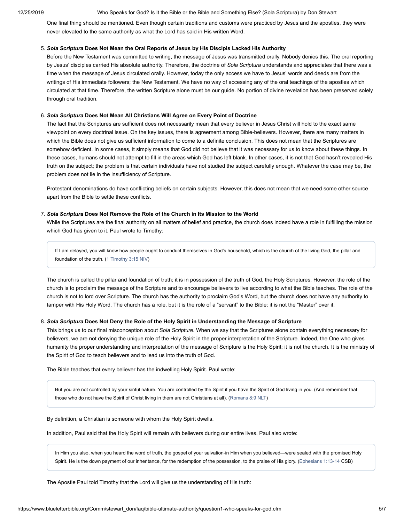12/25/2019 Who Speaks for God? Is It the Bible or the Bible and Something Else? (Sola Scriptura) by Don Stewart

One final thing should be mentioned. Even though certain traditions and customs were practiced by Jesus and the apostles, they were never elevated to the same authority as what the Lord has said in His written Word.

## 5. *Sola Scriptura* **Does Not Mean the Oral Reports of Jesus by His Discipls Lacked His Authority**

Before the New Testament was committed to writing, the message of Jesus was transmitted orally. Nobody denies this. The oral reporting by Jesus' disciples carried His absolute authority. Therefore, the doctrine of *Sola Scriptura* understands and appreciates that there was a time when the message of Jesus circulated orally. However, today the only access we have to Jesus' words and deeds are from the writings of His immediate followers; the New Testament. We have no way of accessing any of the oral teachings of the apostles which circulated at that time. Therefore, the written Scripture alone must be our guide. No portion of divine revelation has been preserved solely through oral tradition.

### 6. *Sola Scriptura* **Does Not Mean All Christians Will Agree on Every Point of Doctrine**

The fact that the Scriptures are sufficient does not necessarily mean that every believer in Jesus Christ will hold to the exact same viewpoint on every doctrinal issue. On the key issues, there is agreement among Bible-believers. However, there are many matters in which the Bible does not give us sufficient information to come to a definite conclusion. This does not mean that the Scriptures are somehow deficient. In some cases, it simply means that God did not believe that it was necessary for us to know about these things. In these cases, humans should not attempt to fill in the areas which God has left blank. In other cases, it is not that God hasn't revealed His truth on the subject; the problem is that certain individuals have not studied the subject carefully enough. Whatever the case may be, the problem does not lie in the insufficiency of Scripture.

Protestant denominations do have conflicting beliefs on certain subjects. However, this does not mean that we need some other source apart from the Bible to settle these conflicts.

## 7. *Sola Scriptura* **Does Not Remove the Role of the Church in Its Mission to the World**

While the Scriptures are the final authority on all matters of belief and practice, the church does indeed have a role in fulfilling the mission which God has given to it. Paul wrote to Timothy:

If I am delayed, you will know how people ought to conduct themselves in God's household, which is the church of the living God, the pillar and foundation of the truth. ([1 Timothy 3:15 NIV](https://www.blueletterbible.org/niv/1timothy/3/15/s_1122015))

The church is called the pillar and foundation of truth; it is in possession of the truth of God, the Holy Scriptures. However, the role of the church is to proclaim the message of the Scripture and to encourage believers to live according to what the Bible teaches. The role of the church is not to lord over Scripture. The church has the authority to proclaim God's Word, but the church does not have any authority to tamper with His Holy Word. The church has a role, but it is the role of a "servant" to the Bible; it is not the "Master" over it.

## 8. *Sola Scriptura* **Does Not Deny the Role of the Holy Spirit in Understanding the Message of Scripture**

This brings us to our final misconception about *Sola Scripture*. When we say that the Scriptures alone contain everything necessary for believers, we are not denying the unique role of the Holy Spirit in the proper interpretation of the Scripture. Indeed, the One who gives humanity the proper understanding and interpretation of the message of Scripture is the Holy Spirit; it is not the church. It is the ministry of the Spirit of God to teach believers and to lead us into the truth of God.

The Bible teaches that every believer has the indwelling Holy Spirit. Paul wrote:

But you are not controlled by your sinful nature. You are controlled by the Spirit if you have the Spirit of God living in you. (And remember that those who do not have the Spirit of Christ living in them are not Christians at all). [\(Romans 8:9 NLT\)](https://www.blueletterbible.org/nlt/romans/8/9/s_1054009)

By definition, a Christian is someone with whom the Holy Spirit dwells.

In addition, Paul said that the Holy Spirit will remain with believers during our entire lives. Paul also wrote:

In Him you also, when you heard the word of truth, the gospel of your salvation-in Him when you believed—were sealed with the promised Holy Spirit. He is the down payment of our inheritance, for the redemption of the possession, to the praise of His glory. ([Ephesians 1:13-14](https://www.blueletterbible.org/csb/ephesians/1/13-14/s_1098013) CSB)

The Apostle Paul told Timothy that the Lord will give us the understanding of His truth: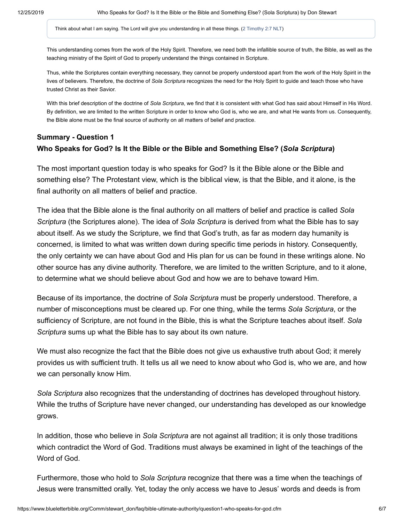Think about what I am saying. The Lord will give you understanding in all these things. ([2 Timothy 2:7 NLT](https://www.blueletterbible.org/nlt/2timothy/2/7/s_1127007))

This understanding comes from the work of the Holy Spirit. Therefore, we need both the infallible source of truth, the Bible, as well as the teaching ministry of the Spirit of God to properly understand the things contained in Scripture.

Thus, while the Scriptures contain everything necessary, they cannot be properly understood apart from the work of the Holy Spirit in the lives of believers. Therefore, the doctrine of *Sola Scriptura* recognizes the need for the Holy Spirit to guide and teach those who have trusted Christ as their Savior.

With this brief description of the doctrine of *Sola Scriptura*, we find that it is consistent with what God has said about Himself in His Word. By definition, we are limited to the written Scripture in order to know who God is, who we are, and what He wants from us. Consequently, the Bible alone must be the final source of authority on all matters of belief and practice.

# **Summary - Question 1 Who Speaks for God? Is It the Bible or the Bible and Something Else? (***Sola Scriptura***)**

The most important question today is who speaks for God? Is it the Bible alone or the Bible and something else? The Protestant view, which is the biblical view, is that the Bible, and it alone, is the final authority on all matters of belief and practice.

The idea that the Bible alone is the final authority on all matters of belief and practice is called *Sola Scriptura* (the Scriptures alone). The idea of *Sola Scriptura* is derived from what the Bible has to say about itself. As we study the Scripture, we find that God's truth, as far as modern day humanity is concerned, is limited to what was written down during specific time periods in history. Consequently, the only certainty we can have about God and His plan for us can be found in these writings alone. No other source has any divine authority. Therefore, we are limited to the written Scripture, and to it alone, to determine what we should believe about God and how we are to behave toward Him.

Because of its importance, the doctrine of *Sola Scriptura* must be properly understood. Therefore, a number of misconceptions must be cleared up. For one thing, while the terms *Sola Scriptura*, or the sufficiency of Scripture, are not found in the Bible, this is what the Scripture teaches about itself. *Sola Scriptura* sums up what the Bible has to say about its own nature.

We must also recognize the fact that the Bible does not give us exhaustive truth about God; it merely provides us with sufficient truth. It tells us all we need to know about who God is, who we are, and how we can personally know Him.

*Sola Scriptura* also recognizes that the understanding of doctrines has developed throughout history. While the truths of Scripture have never changed, our understanding has developed as our knowledge grows.

In addition, those who believe in *Sola Scriptura* are not against all tradition; it is only those traditions which contradict the Word of God. Traditions must always be examined in light of the teachings of the Word of God.

Furthermore, those who hold to *Sola Scriptura* recognize that there was a time when the teachings of Jesus were transmitted orally. Yet, today the only access we have to Jesus' words and deeds is from